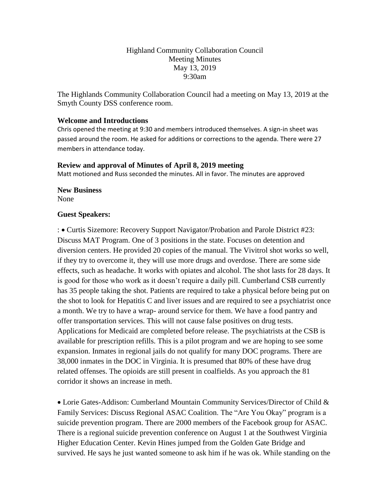## Highland Community Collaboration Council Meeting Minutes May 13, 2019 9:30am

The Highlands Community Collaboration Council had a meeting on May 13, 2019 at the Smyth County DSS conference room.

### **Welcome and Introductions**

Chris opened the meeting at 9:30 and members introduced themselves. A sign-in sheet was passed around the room. He asked for additions or corrections to the agenda. There were 27 members in attendance today.

#### **Review and approval of Minutes of April 8, 2019 meeting**

Matt motioned and Russ seconded the minutes. All in favor. The minutes are approved

#### **New Business**

None

#### **Guest Speakers:**

: • Curtis Sizemore: Recovery Support Navigator/Probation and Parole District #23: Discuss MAT Program. One of 3 positions in the state. Focuses on detention and diversion centers. He provided 20 copies of the manual. The Vivitrol shot works so well, if they try to overcome it, they will use more drugs and overdose. There are some side effects, such as headache. It works with opiates and alcohol. The shot lasts for 28 days. It is good for those who work as it doesn't require a daily pill. Cumberland CSB currently has 35 people taking the shot. Patients are required to take a physical before being put on the shot to look for Hepatitis C and liver issues and are required to see a psychiatrist once a month. We try to have a wrap- around service for them. We have a food pantry and offer transportation services. This will not cause false positives on drug tests. Applications for Medicaid are completed before release. The psychiatrists at the CSB is available for prescription refills. This is a pilot program and we are hoping to see some expansion. Inmates in regional jails do not qualify for many DOC programs. There are 38,000 inmates in the DOC in Virginia. It is presumed that 80% of these have drug related offenses. The opioids are still present in coalfields. As you approach the 81 corridor it shows an increase in meth.

• Lorie Gates-Addison: Cumberland Mountain Community Services/Director of Child & Family Services: Discuss Regional ASAC Coalition. The "Are You Okay" program is a suicide prevention program. There are 2000 members of the Facebook group for ASAC. There is a regional suicide prevention conference on August 1 at the Southwest Virginia Higher Education Center. Kevin Hines jumped from the Golden Gate Bridge and survived. He says he just wanted someone to ask him if he was ok. While standing on the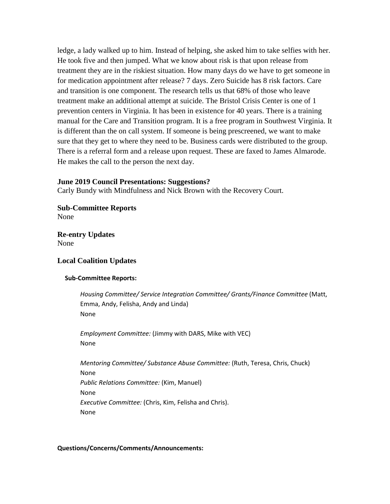ledge, a lady walked up to him. Instead of helping, she asked him to take selfies with her. He took five and then jumped. What we know about risk is that upon release from treatment they are in the riskiest situation. How many days do we have to get someone in for medication appointment after release? 7 days. Zero Suicide has 8 risk factors. Care and transition is one component. The research tells us that 68% of those who leave treatment make an additional attempt at suicide. The Bristol Crisis Center is one of 1 prevention centers in Virginia. It has been in existence for 40 years. There is a training manual for the Care and Transition program. It is a free program in Southwest Virginia. It is different than the on call system. If someone is being prescreened, we want to make sure that they get to where they need to be. Business cards were distributed to the group. There is a referral form and a release upon request. These are faxed to James Almarode. He makes the call to the person the next day.

#### **June 2019 Council Presentations: Suggestions?**

Carly Bundy with Mindfulness and Nick Brown with the Recovery Court.

**Sub-Committee Reports** None

**Re-entry Updates** None

## **Local Coalition Updates**

#### **Sub-Committee Reports:**

*Housing Committee/ Service Integration Committee/ Grants/Finance Committee* (Matt, Emma, Andy, Felisha, Andy and Linda) None

*Employment Committee:* (Jimmy with DARS, Mike with VEC) None

*Mentoring Committee/ Substance Abuse Committee:* (Ruth, Teresa, Chris, Chuck) None *Public Relations Committee:* (Kim, Manuel) None *Executive Committee:* (Chris, Kim, Felisha and Chris). None

#### **Questions/Concerns/Comments/Announcements:**